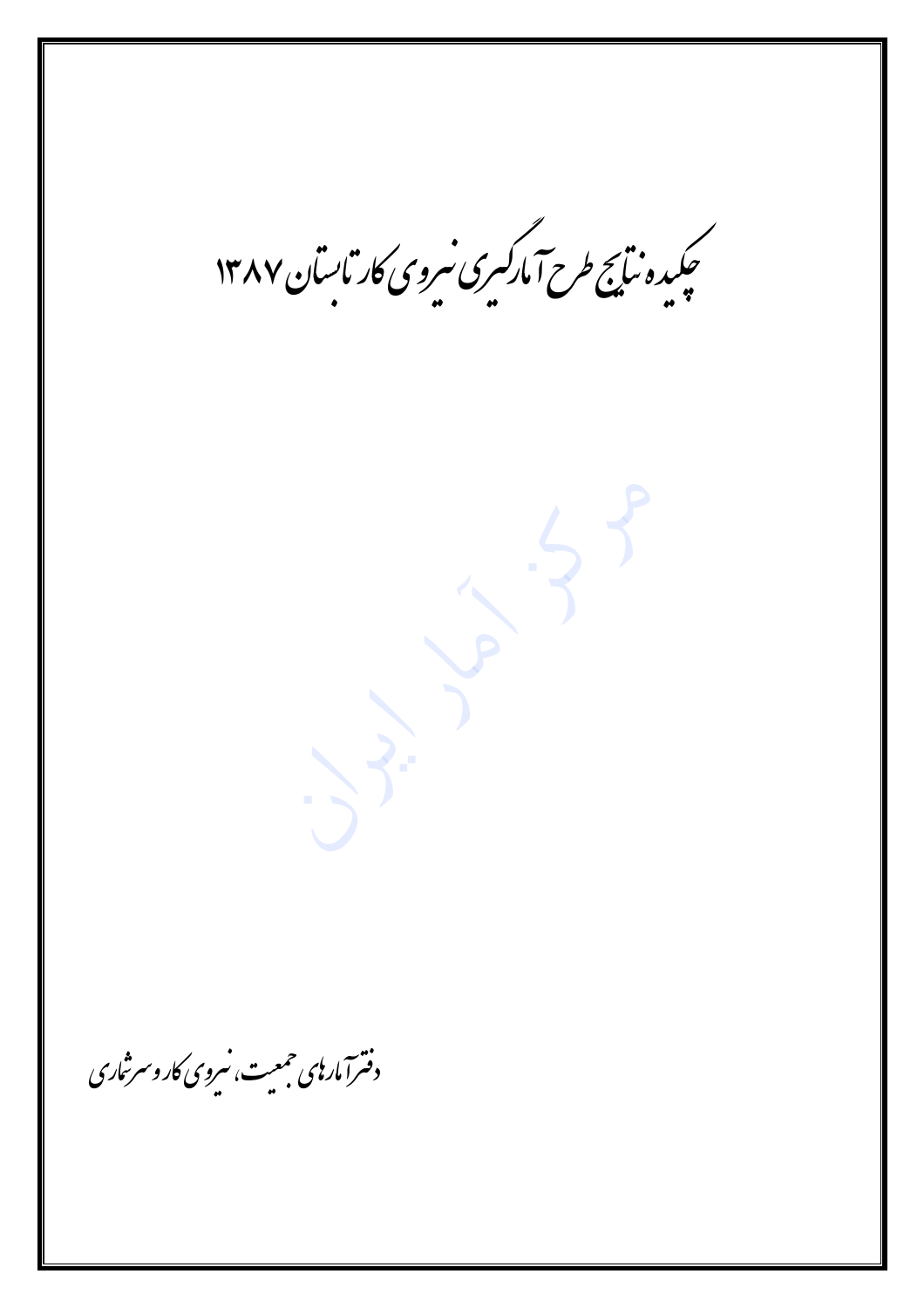.<br>چکیده نیکج طرح آمارکسری سروی کار باسان ۱۳۸۷ دفترآ مار پی حمعیت، سروی کار و سرشاری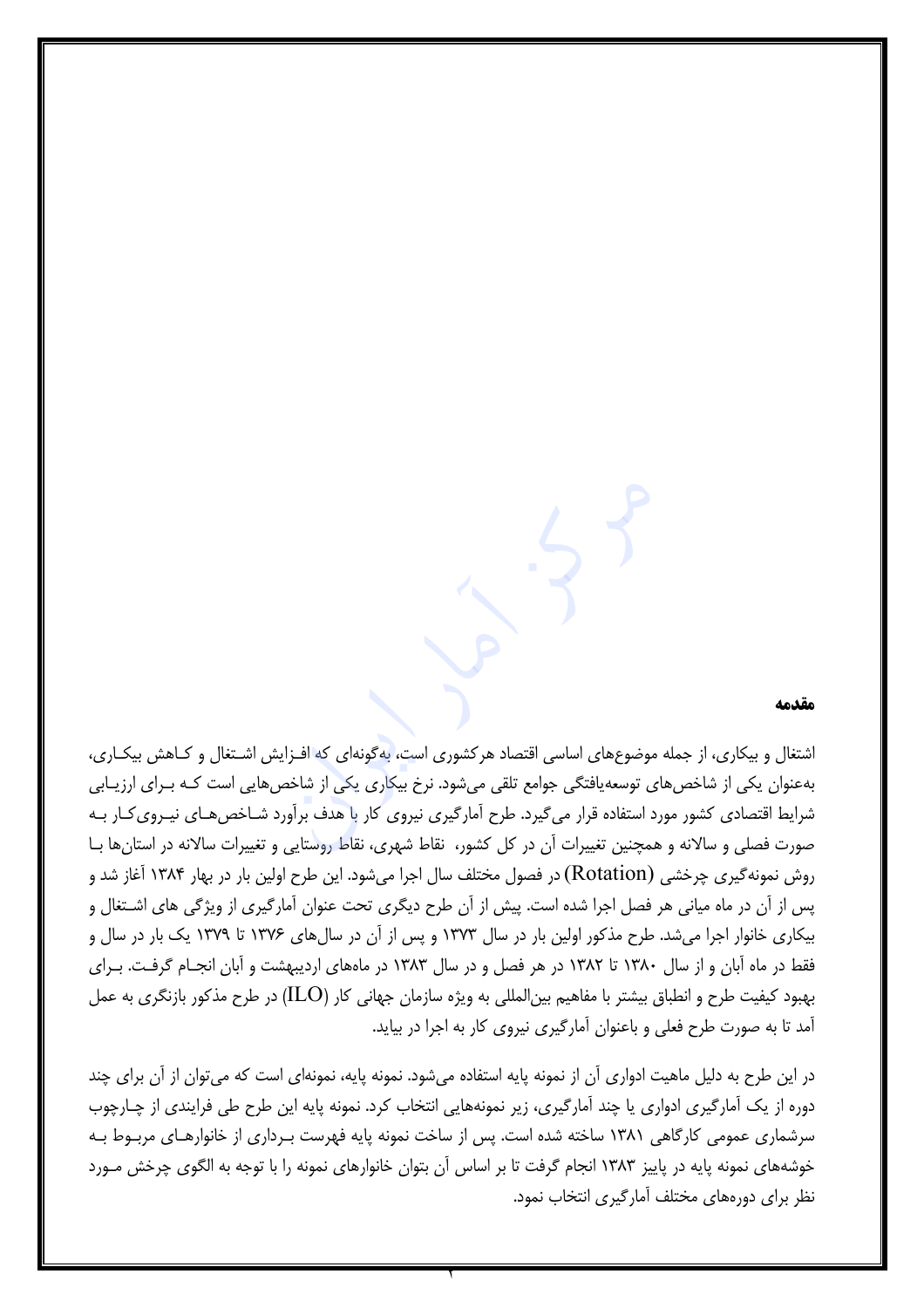#### مقدمه

اشتغال و بیکاری، از جمله موضوعهای اساسی اقتصاد هرکشوری است، به گونهای که افـزایش اشـتغال و کــاهش بیکــاری، بهعنوان یکی از شاخصهای توسعه یافتگی جوامع تلقی می شود. نرخ بیکاری یکی از شاخص هایی است کـه بـرای ارزیـابی شرایط اقتصادی کشور مورد استفاده قرار می گیرد. طرح آمارگیری نیروی کار با هدف برآورد شـاخص هـای نیـروی کـار بـه صورت فصلی و سالانه و همچنین تغییرات آن در کل کشور، نقاط شهری، نقاط روستایی و تغییرات سالانه در استانها بـا روش نمونه گیری چرخشی (Rotation) در فصول مختلف سال اجرا میشود. این طرح اولین بار در بهار ۱۳۸۴ آغاز شد و پس از آن در ماه میانی هر فصل اجرا شده است. پیش از آن طرح دیگری تحت عنوان آمارگیری از ویژگی های اشـتغال و بیکاری خانوار اجرا میشد. طرح مذکور اولین بار در سال ۱۳۷۳ و پس از آن در سالهای ۱۳۷۶ تا ۱۳۷۹ یک بار در سال و فقط در ماه آبان و از سال ۱۳۸۰ تا ۱۳۸۲ در هر فصل و در سال ۱۳۸۳ در ماههای اردیبهشت و آبان انجـام گرفـت. بـرای بهبود کیفیت طرح و انطباق بیشتر با مفاهیم بین|لمللی به ویژه سازمان جهانی کار (ILO) در طرح مذکور بازنگری به عمل آمد تا به صورت طرح فعلی و باعنوان آمارگیری نیروی کار به اجرا در بیاید.

در این طرح به دلیل ماهیت ادواری آن از نمونه پایه استفاده میشود. نمونه پایه، نمونهای است که میتوان از آن برای چند دوره از یک آمارگیری ادواری یا چند آمارگیری، زیر نمونههایی انتخاب کرد. نمونه پایه این طرح طی فرایندی از چـارچوب سرشماری عمومی کارگاهی ۱۳۸۱ ساخته شده است. پس از ساخت نمونه پایه فهرست بـرداری از خانوارهـای مربـوط بـه خوشههای نمونه پایه در پاییز ۱۳۸۳ انجام گرفت تا بر اساس آن بتوان خانوارهای نمونه را با توجه به الگوی چرخش مـورد نظر برای دورههای مختلف آمارگیری انتخاب نمود.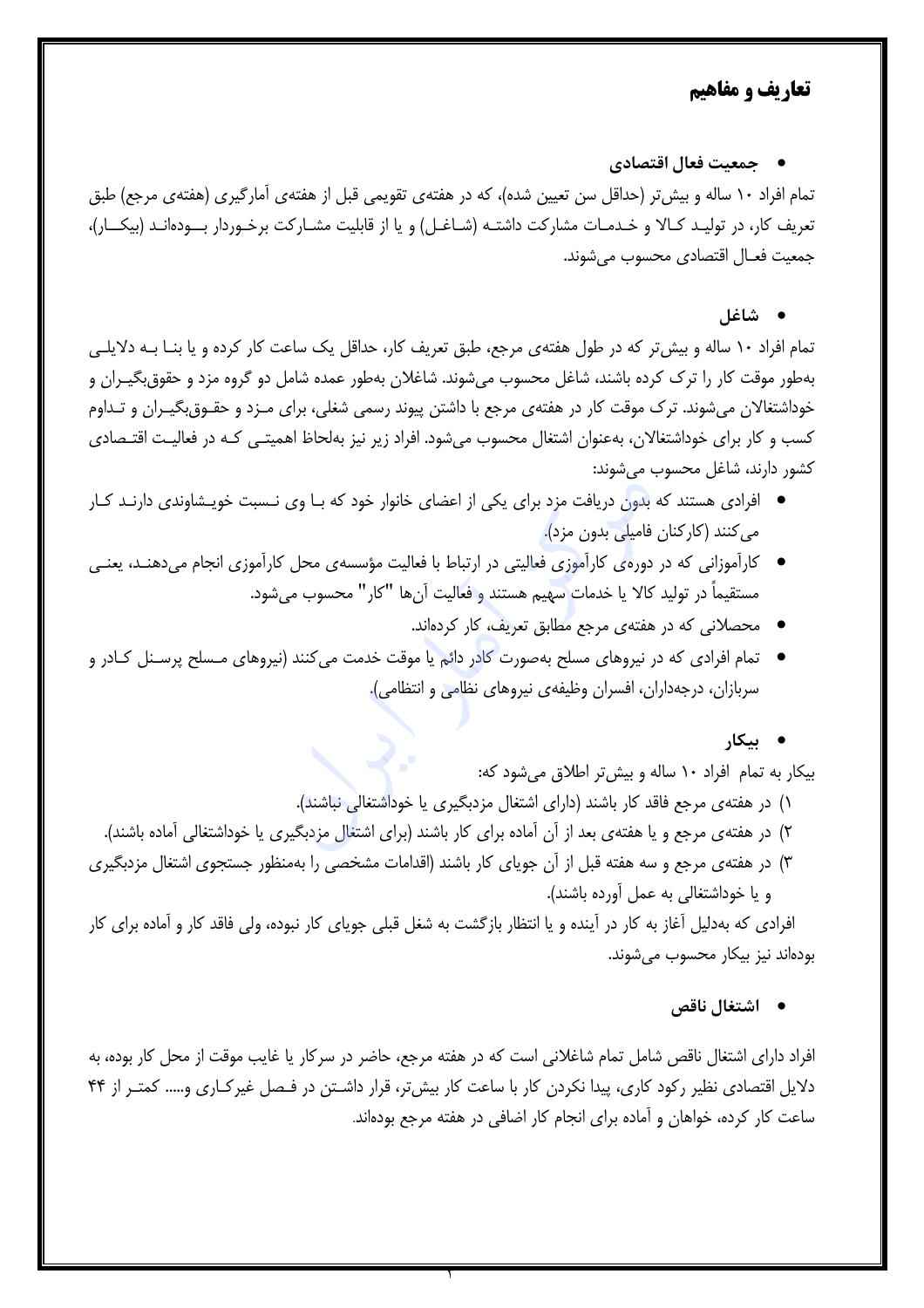## تعاريف و مفاهيم

• جمعیت فعال اقتصادی

تمام افراد ١٠ ساله و بيش تر (حداقل سن تعيين شده)، كه در هفتهى تقويمي قبل از هفتهى آمارگيرى (هفتهى مرجع) طبق تعریف کار، در تولیـد کـالا و خـدمـات مشارکت داشتـه (شـاغـل) و یا از قابلیت مشـارکت برخـوردار بـــودهانـد (بیکـــار)، جمعيت فعــال اقتصادى محسوب مى شوند.

#### • شاغا,

تمام افراد ۱۰ ساله و بیش تر که در طول هفتهی مرجع، طبق تعریف کار، حداقل یک ساعت کار کرده و یا بنـا بـه دلایلـی بهطور موقت کار را ترک کرده باشند، شاغل محسوب میشوند. شاغلان بهطور عمده شامل دو گروه مزد و حقوق بگیـران و خوداشتغالان میشوند. ترک موقت کار در هفتهی مرجع با داشتن پیوند رسمی شغلی، برای مـزد و حقـوق&یـران و تـداوم کسب و کار برای خوداشتغالان، بهعنوان اشتغال محسوب میشود. افراد زیر نیز بهلحاظ اهمیتـی کـه در فعالیـت اقتـصادی كشور دارند، شاغل محسوب مي شوند:

- افرادی هستند که بدون دریافت مزد برای یکی از اعضای خانوار خود که بـا وی نـسبت خویـشاوندی دارنـد کـار می کنند (کارکنان فامیلی بدون مزد).
- کارآموزانی که در دورهی کارآموزی فعالیتی در ارتباط با فعالیت مؤسسهی محل کارآموزی انجام میدهنـد، یعنـی مستقيماً در توليد كالا يا خدمات سهيم هستند و فعاليت آنها "كار" محسوب مي شود.
	- محصلانی که در هفتهی مرجع مطابق تعریف، کار کردهاند.
- تمام افرادی که در نیروهای مسلح بهصورت کادر دائم یا موقت خدمت می کنند (نیروهای مـسلح پرسـنل کـادر و سربازان، درجهداران، افسران وظیفهی نیروهای نظامی و انتظامی).
	- ىىكار

بیکار به تمام افراد ۱۰ ساله و بیش تر اطلاق می شود که:

- ۱) در هفتهی مرجع فاقد کار باشند (دارای اشتغال مزدبگیری یا خوداشتغالی نباشند).
- ۲) در هفتهی مرجع و یا هفتهی بعد از آن آماده برای کار باشند (برای اشتغال مزدبگیری یا خوداشتغالی آماده باشند).
- ۳) در هفتهی مرجع و سه هفته قبل از آن جویای کار باشند (اقدامات مشخصی را بهمنظور جستجوی اشتغال مزدبگیری و یا خوداشتغالی به عمل آورده باشند).

افرادی که بهدلیل آغاز به کار در آینده و یا انتظار بازگشت به شغل قبلی جویای کار نبوده، ولی فاقد کار و آماده برای کار بودهاند نیز بیکار محسوب میشوند.

• اشتغال ناقص

افراد دارای اشتغال ناقص شامل تمام شاغلانی است که در هفته مرجع، حاضر در سرکار یا غایب موقت از محل کار بوده، به دلایل اقتصادی نظیر رکود کاری، پیدا نکردن کار با ساعت کار بیش تر، قرار داشـتن در فـصل غیرکـاری و….. کمتـر از ۴۴ ساعت کار کرده، خواهان و آماده برای انجام کار اضافی در هفته مرجع بودهاند.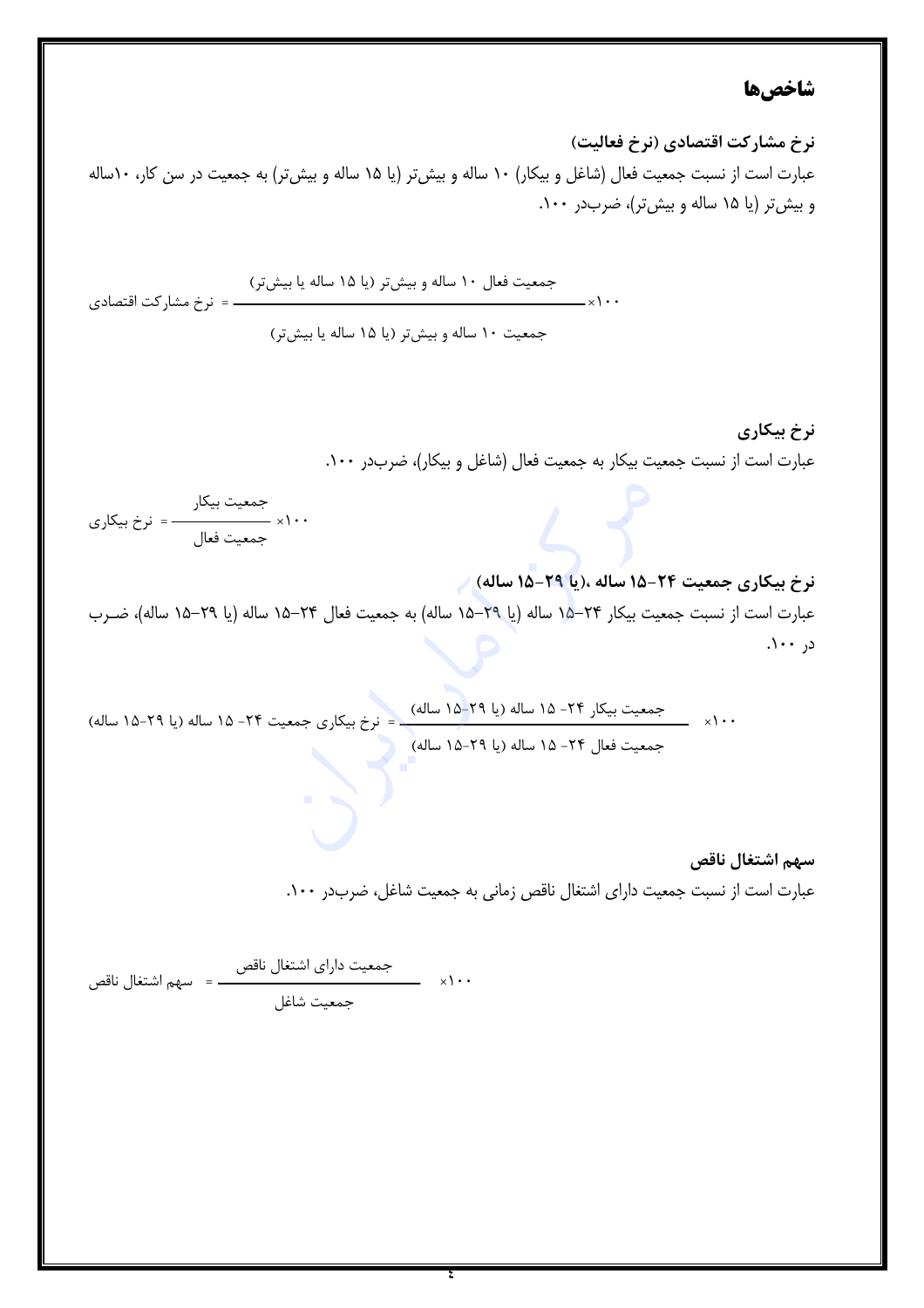# شاخصها

نرخ مشاركت اقتصادي (نرخ فعاليت) عبارت است از نسبت جمعیت فعال (شاغل و بیکار) ١٠ ساله و بیش تر (یا ١۵ ساله و بیش تر) به جمعیت در سن کار، ١٠ساله و بیش تر (یا ۱۵ ساله و بیش تر)، ضربدر ۱۰۰.

نرخ بیکاری عبارت است از نسبت جمعیت بیکار به جمعیت فعال (شاغل و بیکار)، ضربدر ۱۰۰.

نرخ بيكاري جمعيت ٢۴-١۵ ساله ،(يا ٢٩-١۵ ساله) / عبارت است از نسبت جمعیت بیکار ۲۴–۱۵ ساله (یا ۲۹–۱۵ ساله) به جمعیت فعال ۲۴–۱۵ ساله (یا ۲۹–۱۵ ساله)، ضـرب در ۱۰۰.

سهم اشتغال ناقص عبارت است از نسبت جمعیت دارای اشتغال ناقص زمانی به جمعیت شاغل، ضربدر ۱۰۰.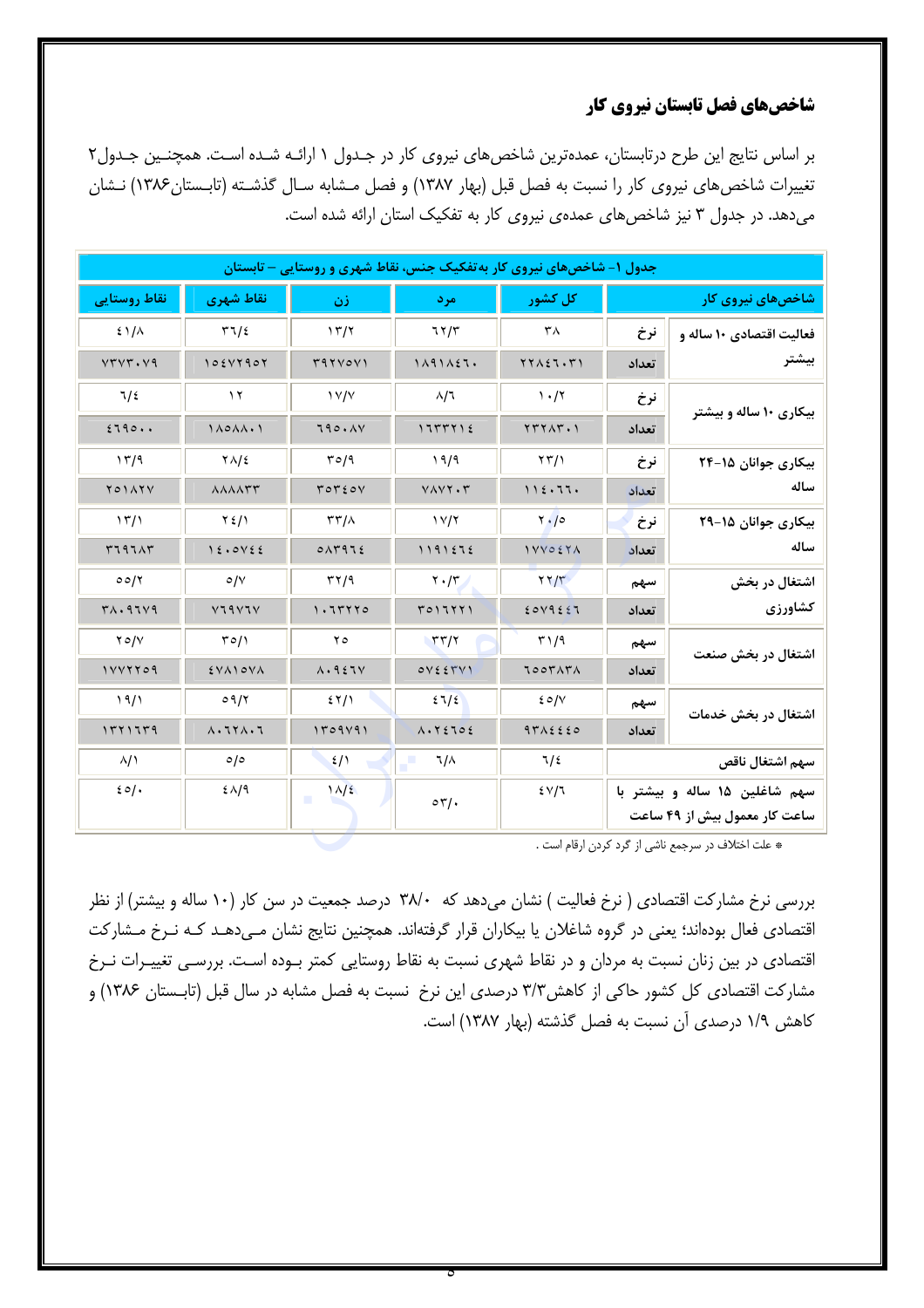### شاخصهای فصل تابستان نیروی کار

بر اساس نتایج این طرح درتابستان، عمدهترین شاخص های نیروی کار در جـدول ۱ ارائـه شـده اسـت. همچنـین جـدول۲ تغییرات شاخصهای نیروی کار را نسبت به فصل قبل (بهار ۱۳۸۷) و فصل مـشابه سـال گذشـته (تابـستان۱۳۸۶) نـشان می دهد. در جدول ۳ نیز شاخص های عمدهی نیروی کار به تفکیک استان ارائه شده است.

| جدول ۱– شاخصهای نیروی کار به تفکیک جنس، نقاط شهری و روستایی – تابستان |       |                                 |                                            |                      |                                   |                      |  |
|-----------------------------------------------------------------------|-------|---------------------------------|--------------------------------------------|----------------------|-----------------------------------|----------------------|--|
| شاخصهای نیروی کار                                                     |       |                                 | مر د                                       | زن                   | نقاط شهري                         | نقاط روستایی         |  |
| فعالیت اقتصادی ۱۰ ساله و                                              | نرخ   | ۳٨                              | 77/5                                       | 17/7                 | 57/2                              | $21/\lambda$         |  |
| بيشتر                                                                 | تعداد | $YY \wedge \xi Y \cdot Y'$      | 1111121.                                   | 397Vov1              | 10514907                          | VTVT. V9             |  |
|                                                                       | نرخ   | 1.77                            | $\lambda/7$                                | $\frac{1}{\sqrt{2}}$ | $\gamma$                          | 7/2                  |  |
| بیکاری ۱۰ ساله و بیشتر                                                | تعداد | YYYAY.                          | 175512                                     | 790.1V               | $1\wedge o\wedge\wedge\cdot\cdot$ | 2790                 |  |
| بیکاری جوانان ۱۵-۲۴<br>ساله                                           | نرخ   | $\langle \gamma \gamma \rangle$ | 19/9                                       | 50/9                 | $Y\Lambda/\epsilon$               | 17/9                 |  |
|                                                                       | تعداد | 112.77.                         | VAYY. Y                                    | TOTEOV               | <b>AAAATT</b>                     | <b>YOIATY</b>        |  |
| بیکاری جوانان ۱۵-۲۹                                                   | نرخ   | Y/0                             | $\frac{1}{\sqrt{7}}$                       | $\tau\tau/\lambda$   | $Y_{\ell}/Y$                      | $\frac{15}{1}$       |  |
| ساله                                                                  | تعداد | 1 VV O 2 Y A                    | 1191272                                    | 0.14972              | 12.0V55                           | <b>TIAIAT</b>        |  |
| اشتغال در بخش                                                         | سهم   | $\gamma \gamma/\gamma$          | $\mathbf{Y} \cdot \mathbf{X}$              | $\tau\gamma\gamma$   | $\circ/\vee$                      | 00/7                 |  |
| كشاورزى                                                               | تعداد | 2019227                         | T011111                                    | 1.77770              | V19V1V                            | $Y\wedge$ . 97 $V$ 9 |  |
| اشتغال در بخش صنعت                                                    | سهم   | 51/9                            | $\tau\tau/\tau$                            | ه ۲                  | T0/1                              | $Y \circ / Y$        |  |
|                                                                       | تعداد | TOOTATA                         | OVEEVV                                     | $\Lambda$ . 927 $V$  | EVAIOVA                           | 1111709              |  |
| اشتغال در بخش خدمات                                                   | سهم   | 20/V                            | 21/2                                       | 55/1                 | 09/7                              | 19/1                 |  |
|                                                                       | تعداد | 9712220                         | $\Lambda \cdot Y \xi \mathbb{1} \circ \xi$ | 1509191              | $\Lambda$ . $7Y\Lambda$ . $7$     | 1571779              |  |
| سهم اشتغال ناقص                                                       |       | 7/2                             | ٦/٨                                        | 2/1                  | $\circ$ /0                        | $\lambda/2$          |  |
| سهم شاغلین ۱۵ ساله و بیشتر با                                         |       | $2\sqrt{7}$                     | $\circ \tau/\cdot$                         | $1\sqrt{2}$          | $2\lambda/9$                      | 20/                  |  |
| ساعت کار معمول بیش از ۴۹ ساعت                                         |       |                                 |                                            |                      |                                   |                      |  |

\* علت اختلاف در سرجمع ناشي از گرد كردن ارقام است .

بررسی نرخ مشارکت اقتصادی ( نرخ فعالیت ) نشان میدهد که ۳۸/۰ درصد جمعیت در سن کار (۱۰ ساله و بیشتر) از نظر اقتصادی فعال بودهاند؛ یعنی در گروه شاغلان یا بیکاران قرار گرفتهاند. همچنین نتایج نشان مـی،دهـد کـه نـرخ مـشارکت اقتصادی در بین زنان نسبت به مردان و در نقاط شهری نسبت به نقاط روستایی کمتر بـوده اسـت. بررسـی تغییـرات نـرخ مشارکت اقتصادی کل کشور حاکی از کاهش۳/۳ درصدی این نرخ نسبت به فصل مشابه در سال قبل (تابـستان ۱۳۸۶) و كاهش ١/٩ درصدي آن نسبت به فصل گذشته (بهار ١٣٨٧) است.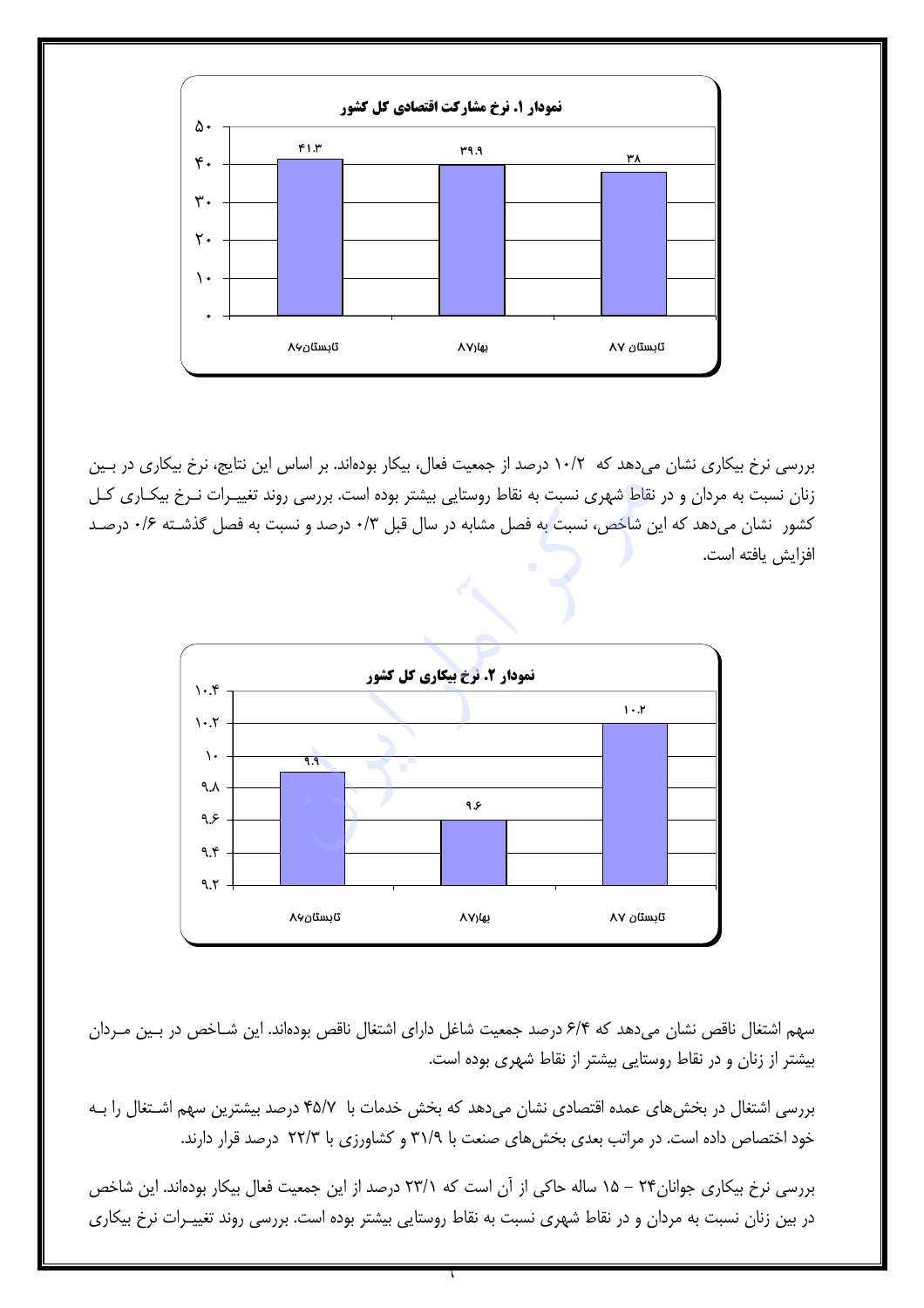

بررسی نرخ بیکاری نشان میدهد که ۱۰/۲ درصد از جمعیت فعال، بیکار بودهاند. بر اساس این نتایج، نرخ بیکاری در بـین زنان نسبت به مردان و در نقاط شهری نسبت به نقاط روستایی بیشتر بوده است. بررسی روند تغییـرات نـرخ بیکـاری کـل کشور ِ نشان میدهد که این شاخص، نسبت به فصل مشابه در سال قبل ۰/۳ درصد و نسبت به فصل گذشـته ۰/۶ درصـد افزايش يافته است.



سهم اشتغال ناقص نشان می دهد که ۶/۴ درصد جمعیت شاغل دارای اشتغال ناقص بودهاند. این شـاخص در بـین مـردان بیشتر از زنان و در نقاط روستایی بیشتر از نقاط شهری بوده است.

بررسی اشتغال در بخش های عمده اقتصادی نشان می دهد که بخش خدمات با ۴۵/۷ درصد بیشترین سهم اشـتغال را بـه خود اختصاص داده است. در مراتب بعدی بخشهای صنعت با ۳۱/۹ و کشاورزی با ۲۲/۳ درصد قرار دارند.

بررسی نرخ بیکاری جوانان۲۴ – ۱۵ ساله حاکی از آن است که ۲۳/۱ درصد از این جمعیت فعال بیکار بودهاند. این شاخص در بین زنان نسبت به مردان و در نقاط شهری نسبت به نقاط روستایی بیشتر بوده است. بررسی روند تغییـرات نرخ بیکاری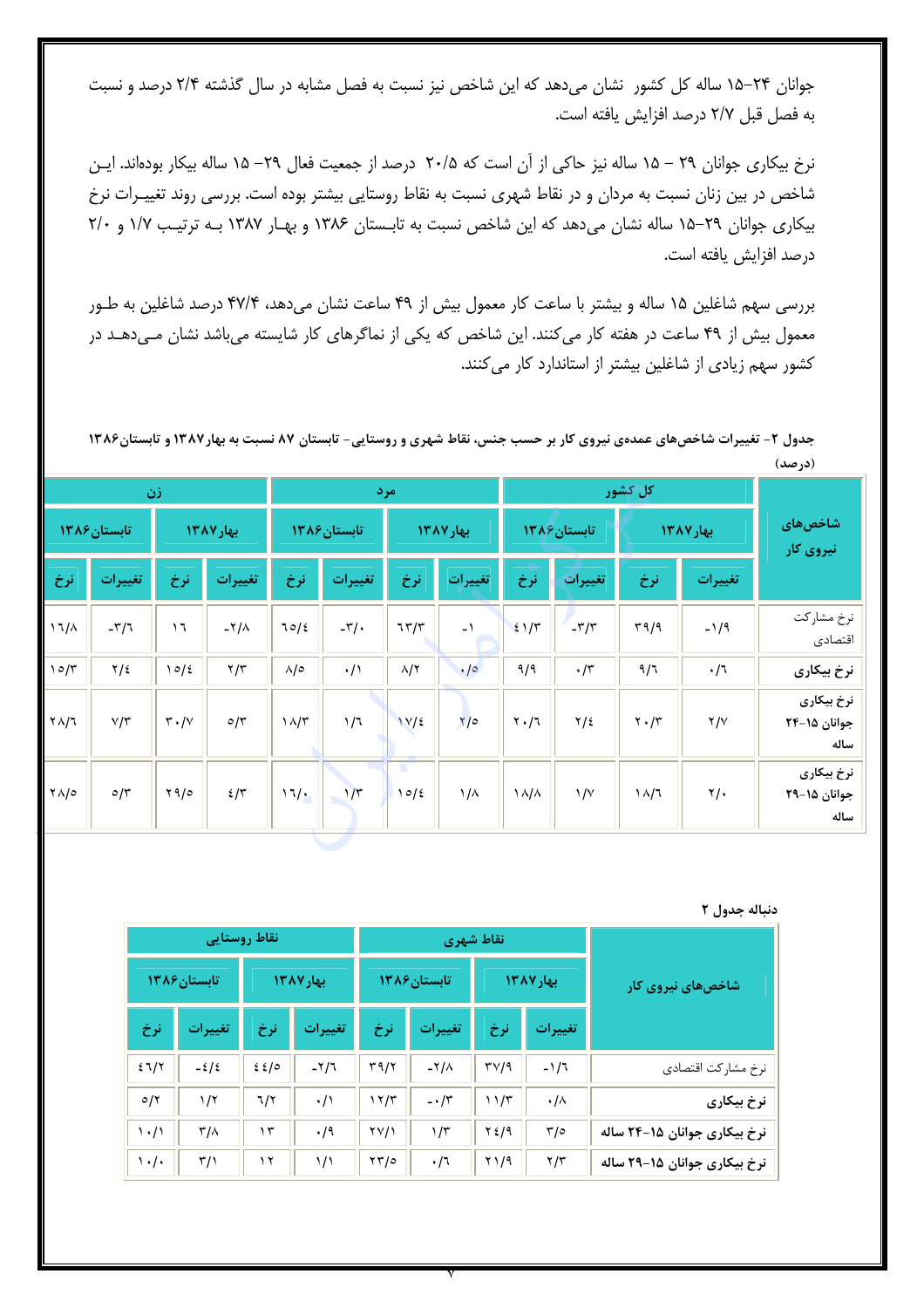جوانان ۲۴–۱۵ ساله کل کشور نشان میدهد که این شاخص نیز نسبت به فصل مشابه در سال گذشته ۲/۴ درصد و نسبت به فصل قبل ٢/٧ درصد افزايش يافته است.

نرخ بیکاری جوانان ۲۹ – ۱۵ ساله نیز حاکی از آن است که ۲۰/۵ درصد از جمعیت فعال ۲۹– ۱۵ ساله بیکار بودهاند. ایــن شاخص در بین زنان نسبت به مردان و در نقاط شهری نسبت به نقاط روستایی بیشتر بوده است. بررسی روند تغییـرات نرخ بیکاری جوانان ٢٩-١۵ ساله نشان می دهد که این شاخص نسبت به تابستان ١٣٨۶ و بهار ١٣٨٧ بـه ترتیب ١/٧ و ٢/٠ درصد افزایش یافته است.

بررسی سهم شاغلین ۱۵ ساله و بیشتر با ساعت کار معمول بیش از ۴۹ ساعت نشان میدهد، ۴۷/۴ درصد شاغلین به طـور معمول بیش از ۴۹ ساعت در هفته کار می کنند. این شاخص که یکی از نماگرهای کار شایسته می باشد نشان مـی دهــد در کشور سهم زیادی از شاغلین بیشتر از استاندارد کار می کنند.

جدول ۲- تغییرات شاخصهای عمدهی نیروی کار بر حسب جنس، نقاط شهری و روستایی- تابستان ۸۷ نسبت به بهار۱۳۸۷ و تابستان۱۳۸۶ (درصد)

| زن                 |                  |                               |                       | مر د                 |              |                    |                   | کل کشور                       |                      |                               |                     |                                    |
|--------------------|------------------|-------------------------------|-----------------------|----------------------|--------------|--------------------|-------------------|-------------------------------|----------------------|-------------------------------|---------------------|------------------------------------|
| تابستان ۱۳۸۶       |                  |                               | بهار ١٣٨٧             |                      | تابستان ۱۳۸۶ |                    | بهار ١٣٨٧         |                               | تابستان ۱۳۸۶         |                               | بهار ١٣٨٧           | شاخصهای<br>نیروی کار               |
| نرخ                | تغييرات          | نرخ                           | تغييرات               | نرخ                  | تغييرات      | نرخ                | تغييرات           | نرخ                           | تغييرات              | نرخ                           | تغييرات             |                                    |
| $17/\lambda$       | $-\nabla/\tau$   | $\mathcal{L}$                 | $-\frac{1}{\sqrt{2}}$ | 70/2                 | $-\tau$ /.   | 757                | $-1$              | 21/5                          | $-\frac{r}{r}$       | 49/9                          | $-1/9$              | نرخ مشاركت<br>اقتصادى              |
| 10/5               | $\frac{1}{2}$    | 10/2                          | $\gamma/\tau$         | $\lambda/\circ$      | $\cdot/$     | $\lambda/\Upsilon$ | $\cdot$ / $\circ$ | 9/9                           | $\cdot$ /٣           | 9/7                           | $\cdot$ /٦          | نرخ بیکاری                         |
| $Y \wedge /I$      | $V/\tau$         | $\mathsf{r} \cdot \mathsf{N}$ | $\circ/\tau$          | $\frac{1}{\sqrt{7}}$ | 1/7          | $1V/\epsilon$      | $\sqrt{2}$        | $\mathbf{Y} \cdot \mathbf{1}$ | $\frac{1}{2}$        | $\mathbf{Y} \cdot \mathbf{X}$ | Y/Y                 | نرخ بيكارى<br>جوانان ۱۵-۲۴<br>ساله |
| $\gamma \wedge$ /0 | $0/\tilde{\tau}$ | 410                           | $2/\tau$              | 17/                  | $1/\tau$     | п<br>10/2          | $1/\lambda$       | $\lambda/\lambda$             | $\frac{1}{\sqrt{2}}$ | $\frac{1}{4}$                 | $\gamma/\mathbf{.}$ | نرخ بیکاری<br>جوانان ۱۵-۲۹<br>ساله |

دنباله جدول ٢

|                              |                 | نقاط شهري                            |                |                         | نقاط روستايي |      |                         |                                   |  |  |
|------------------------------|-----------------|--------------------------------------|----------------|-------------------------|--------------|------|-------------------------|-----------------------------------|--|--|
| شاخصهای نیروی کار            | بهار ۱۳۸۷       |                                      | تابستان ۱۳۸۶   |                         | بهار ١٣٨٧    |      | تابستان ۱۳۸۶            |                                   |  |  |
|                              | تغييرات         | نرخ                                  | تغييرات        | نرخ                     | تغييرات      | نرخ  | تغييرات                 | نرخ                               |  |  |
| نرخ مشاركت اقتصادي           | $-1/7$          | $\mathsf{r}\vee\mathsf{l}\mathsf{q}$ | $-\frac{1}{2}$ | $\mathbf{r}$ 9/2        | $-7/7$       | 22/0 | $-2/2$                  | 27/7                              |  |  |
| نرخ بیکاری                   | $\cdot/\wedge$  | 11/T                                 | $-\cdot/5$     | 17/5                    | $\cdot/$     | ٦/٢  | 1/7                     | $\mathcal{O}/\mathcal{X}$         |  |  |
| نرخ بیکاری جوانان ۱۵–۲۴ ساله | $\frac{1}{2}$   | ۲٤/۹                                 | $1/\tau$       | YY/1                    | $\cdot$ /9   | ۱۳   | $\mathsf{r}/\mathsf{A}$ | $\langle \cdot / \rangle$         |  |  |
| نرخ بیکاری جوانان ۱۵–۲۹ ساله | $\frac{1}{\pi}$ | $Y \setminus 19$                     | $\cdot/7$      | $\gamma \gamma / \circ$ | ۱/۱          | ۲ (  | $\sqrt{2}$              | $\mathcal{N} \cdot / \mathcal{N}$ |  |  |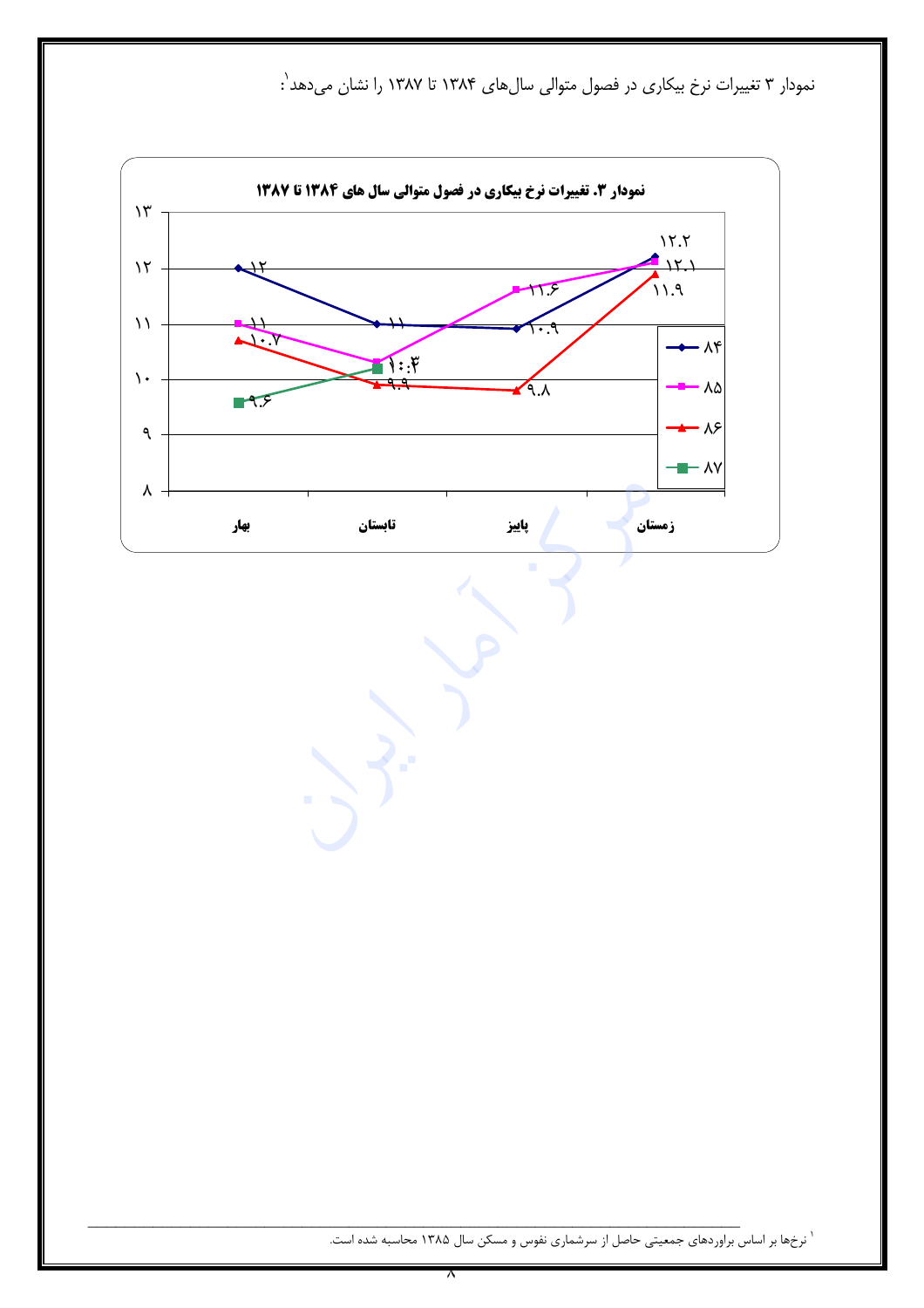نمودار ۳ تغییرات نرخ بیکاری در فصول متوالی سالهای ۱۳۸۴ تا ۱۳۸۷ را نشان میدهد<sup>'</sup>:



` نرخها بر اساس براوردهای جمعیتی حاصل از سرشماری نفوس و مسکن سال ۱۳۸۵ محاسبه شده است.